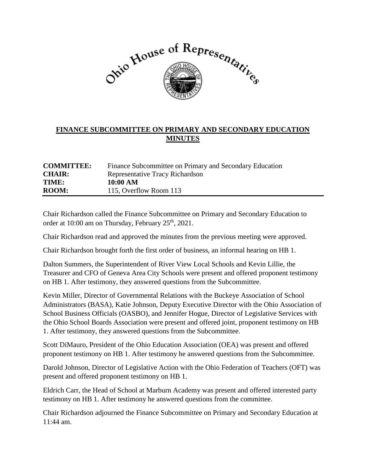

## **FINANCE SUBCOMMITTEE ON PRIMARY AND SECONDARY EDUCATION MINUTES**

| <b>COMMITTEE:</b> | Finance Subcommittee on Primary and Secondary Education |
|-------------------|---------------------------------------------------------|
| <b>CHAIR:</b>     | <b>Representative Tracy Richardson</b>                  |
| TIME:             | 10:00 AM                                                |
| <b>ROOM:</b>      | 115, Overflow Room 113                                  |

Chair Richardson called the Finance Subcommittee on Primary and Secondary Education to order at 10:00 am on Thursday, February 25<sup>th</sup>, 2021.

Chair Richardson read and approved the minutes from the previous meeting were approved.

Chair Richardson brought forth the first order of business, an informal hearing on HB 1.

Dalton Summers, the Superintendent of River View Local Schools and Kevin Lillie, the Treasurer and CFO of Geneva Area City Schools were present and offered proponent testimony on HB 1. After testimony, they answered questions from the Subcommittee.

Kevin Miller, Director of Governmental Relations with the Buckeye Association of School Administrators (BASA), Katie Johnson, Deputy Executive Director with the Ohio Association of School Business Officials (OASBO), and Jennifer Hogue, Director of Legislative Services with the Ohio School Boards Association were present and offered joint, proponent testimony on HB 1. After testimony, they answered questions from the Subcommittee.

Scott DiMauro, President of the Ohio Education Association (OEA) was present and offered proponent testimony on HB 1. After testimony he answered questions from the Subcommittee.

Darold Johnson, Director of Legislative Action with the Ohio Federation of Teachers (OFT) was present and offered proponent testimony on HB 1.

Eldrich Carr, the Head of School at Marburn Academy was present and offered interested party testimony on HB 1. After testimony he answered questions from the committee.

Chair Richardson adjourned the Finance Subcommittee on Primary and Secondary Education at 11:44 am.